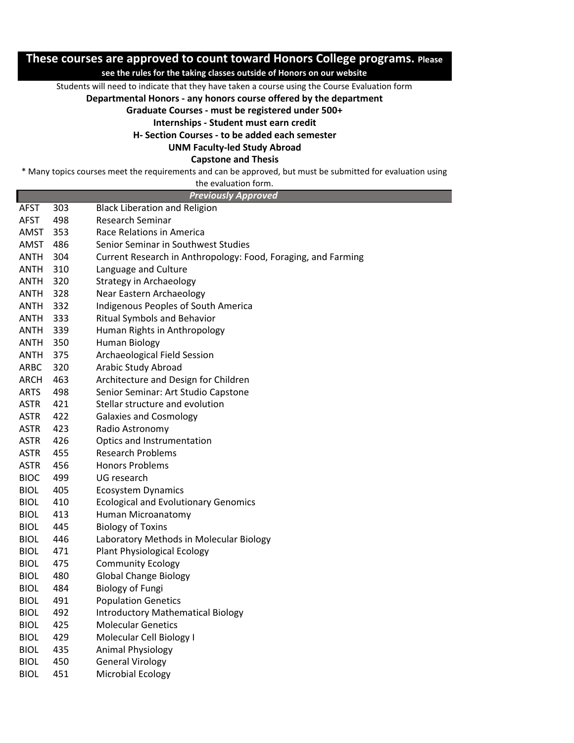## **These courses are approved to count toward Honors College programs. Please**

## **see the rules for the taking classes outside of Honors on our website**

Students will need to indicate that they have taken a course using the Course Evaluation form

**Departmental Honors - any honors course offered by the department** 

**Graduate Courses - must be registered under 500+**

**Internships - Student must earn credit**

**H- Section Courses - to be added each semester**

**UNM Faculty-led Study Abroad**

**Capstone and Thesis**

\* Many topics courses meet the requirements and can be approved, but must be submitted for evaluation using

| the evaluation form.       |  |
|----------------------------|--|
| <b>Previously Approved</b> |  |

| <b>AFST</b> | 303 | <b>Black Liberation and Religion</b>                          |
|-------------|-----|---------------------------------------------------------------|
| <b>AFST</b> | 498 | <b>Research Seminar</b>                                       |
| AMST        | 353 | Race Relations in America                                     |
| AMST        | 486 | Senior Seminar in Southwest Studies                           |
| <b>ANTH</b> | 304 | Current Research in Anthropology: Food, Foraging, and Farming |
| ANTH        | 310 | Language and Culture                                          |
| ANTH        | 320 | <b>Strategy in Archaeology</b>                                |
| <b>ANTH</b> | 328 | Near Eastern Archaeology                                      |
| <b>ANTH</b> | 332 | Indigenous Peoples of South America                           |
| ANTH        | 333 | <b>Ritual Symbols and Behavior</b>                            |
| ANTH        | 339 | Human Rights in Anthropology                                  |
| ANTH        | 350 | <b>Human Biology</b>                                          |
| <b>ANTH</b> | 375 | Archaeological Field Session                                  |
| ARBC        | 320 | Arabic Study Abroad                                           |
| ARCH        | 463 | Architecture and Design for Children                          |
| <b>ARTS</b> | 498 | Senior Seminar: Art Studio Capstone                           |
| <b>ASTR</b> | 421 | Stellar structure and evolution                               |
| <b>ASTR</b> | 422 | <b>Galaxies and Cosmology</b>                                 |
| <b>ASTR</b> | 423 | Radio Astronomy                                               |
| <b>ASTR</b> | 426 | Optics and Instrumentation                                    |
| <b>ASTR</b> | 455 | <b>Research Problems</b>                                      |
| <b>ASTR</b> | 456 | <b>Honors Problems</b>                                        |
| <b>BIOC</b> | 499 | UG research                                                   |
| <b>BIOL</b> | 405 | <b>Ecosystem Dynamics</b>                                     |
| <b>BIOL</b> | 410 | <b>Ecological and Evolutionary Genomics</b>                   |
| <b>BIOL</b> | 413 | Human Microanatomy                                            |
| <b>BIOL</b> | 445 | <b>Biology of Toxins</b>                                      |
| <b>BIOL</b> | 446 | Laboratory Methods in Molecular Biology                       |
| <b>BIOL</b> | 471 | <b>Plant Physiological Ecology</b>                            |
| BIOL        | 475 | <b>Community Ecology</b>                                      |
| <b>BIOL</b> | 480 | <b>Global Change Biology</b>                                  |
| <b>BIOL</b> | 484 | <b>Biology of Fungi</b>                                       |
| <b>BIOL</b> | 491 | <b>Population Genetics</b>                                    |
| <b>BIOL</b> | 492 | <b>Introductory Mathematical Biology</b>                      |
| <b>BIOL</b> | 425 | <b>Molecular Genetics</b>                                     |
| <b>BIOL</b> | 429 | Molecular Cell Biology I                                      |
| <b>BIOL</b> | 435 | <b>Animal Physiology</b>                                      |
| <b>BIOL</b> | 450 | <b>General Virology</b>                                       |
| <b>BIOL</b> | 451 | <b>Microbial Ecology</b>                                      |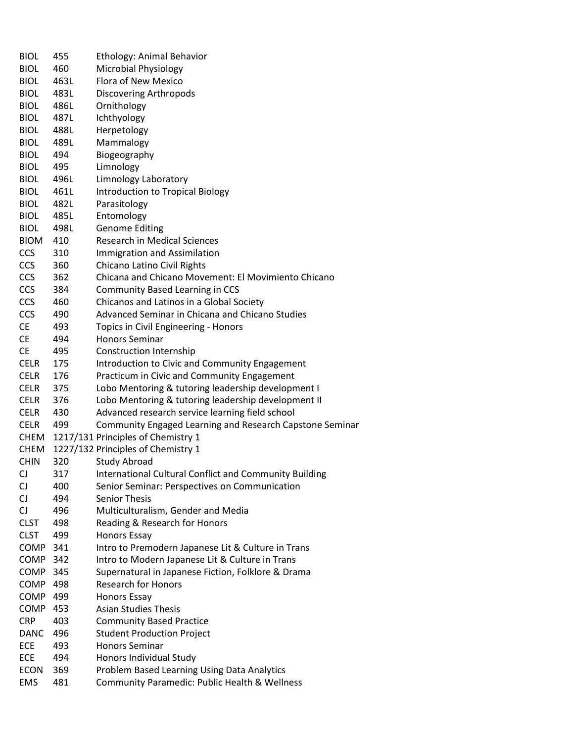| <b>BIOL</b> | 455  | <b>Ethology: Animal Behavior</b>                         |
|-------------|------|----------------------------------------------------------|
| <b>BIOL</b> | 460  | <b>Microbial Physiology</b>                              |
|             |      | Flora of New Mexico                                      |
| <b>BIOL</b> | 463L |                                                          |
| <b>BIOL</b> | 483L | <b>Discovering Arthropods</b>                            |
| <b>BIOL</b> | 486L | Ornithology                                              |
| <b>BIOL</b> | 487L | Ichthyology                                              |
| <b>BIOL</b> | 488L | Herpetology                                              |
| <b>BIOL</b> | 489L | Mammalogy                                                |
| <b>BIOL</b> | 494  | Biogeography                                             |
| <b>BIOL</b> | 495  | Limnology                                                |
| <b>BIOL</b> | 496L | Limnology Laboratory                                     |
| <b>BIOL</b> | 461L | Introduction to Tropical Biology                         |
| <b>BIOL</b> | 482L | Parasitology                                             |
| <b>BIOL</b> | 485L | Entomology                                               |
| <b>BIOL</b> | 498L | <b>Genome Editing</b>                                    |
| <b>BIOM</b> | 410  | <b>Research in Medical Sciences</b>                      |
| <b>CCS</b>  | 310  | <b>Immigration and Assimilation</b>                      |
| <b>CCS</b>  | 360  | Chicano Latino Civil Rights                              |
| <b>CCS</b>  | 362  | Chicana and Chicano Movement: El Movimiento Chicano      |
| <b>CCS</b>  | 384  | <b>Community Based Learning in CCS</b>                   |
| <b>CCS</b>  | 460  | Chicanos and Latinos in a Global Society                 |
| <b>CCS</b>  | 490  | Advanced Seminar in Chicana and Chicano Studies          |
| <b>CE</b>   | 493  | Topics in Civil Engineering - Honors                     |
| <b>CE</b>   | 494  | <b>Honors Seminar</b>                                    |
| <b>CE</b>   | 495  |                                                          |
|             |      | <b>Construction Internship</b>                           |
| <b>CELR</b> | 175  | Introduction to Civic and Community Engagement           |
| <b>CELR</b> | 176  | Practicum in Civic and Community Engagement              |
| <b>CELR</b> | 375  | Lobo Mentoring & tutoring leadership development I       |
| <b>CELR</b> | 376  | Lobo Mentoring & tutoring leadership development II      |
| <b>CELR</b> | 430  | Advanced research service learning field school          |
| <b>CELR</b> | 499  | Community Engaged Learning and Research Capstone Seminar |
| <b>CHEM</b> |      | 1217/131 Principles of Chemistry 1                       |
| <b>CHEM</b> |      | 1227/132 Principles of Chemistry 1                       |
| <b>CHIN</b> | 320  | <b>Study Abroad</b>                                      |
| CJ          | 317  | International Cultural Conflict and Community Building   |
| CJ          | 400  | Senior Seminar: Perspectives on Communication            |
| CJ          | 494  | <b>Senior Thesis</b>                                     |
| <b>CJ</b>   | 496  | Multiculturalism, Gender and Media                       |
| <b>CLST</b> | 498  | Reading & Research for Honors                            |
| <b>CLST</b> | 499  | <b>Honors Essay</b>                                      |
| COMP        | 341  | Intro to Premodern Japanese Lit & Culture in Trans       |
| COMP 342    |      | Intro to Modern Japanese Lit & Culture in Trans          |
| COMP        | 345  | Supernatural in Japanese Fiction, Folklore & Drama       |
| COMP        | 498  | <b>Research for Honors</b>                               |
| COMP        | 499  | <b>Honors Essay</b>                                      |
| <b>COMP</b> | 453  | <b>Asian Studies Thesis</b>                              |
| <b>CRP</b>  | 403  | <b>Community Based Practice</b>                          |
| <b>DANC</b> | 496  | <b>Student Production Project</b>                        |
| ECE         | 493  | <b>Honors Seminar</b>                                    |
| ECE         | 494  | Honors Individual Study                                  |
| <b>ECON</b> | 369  | Problem Based Learning Using Data Analytics              |
| EMS         | 481  | Community Paramedic: Public Health & Wellness            |
|             |      |                                                          |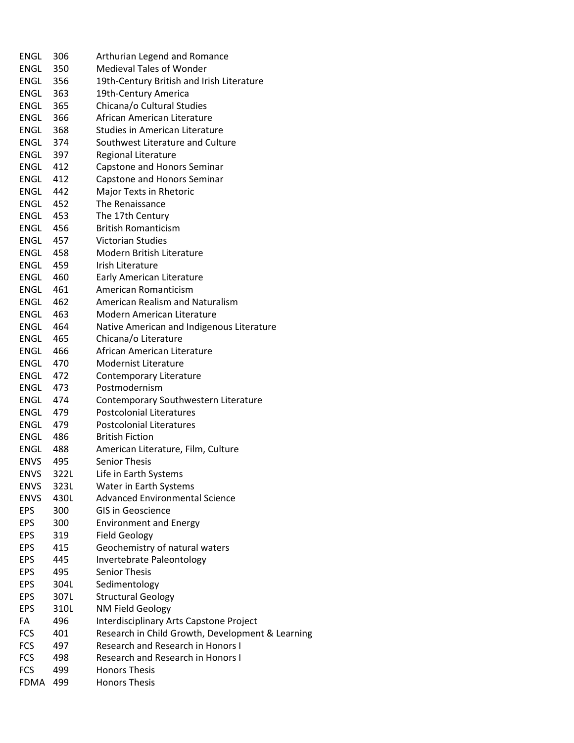| ENGL        | 306   | Arthurian Legend and Romance                     |
|-------------|-------|--------------------------------------------------|
| <b>ENGL</b> | 350   | <b>Medieval Tales of Wonder</b>                  |
| ENGL        | 356   | 19th-Century British and Irish Literature        |
| ENGL        | 363   | 19th-Century America                             |
| ENGL        | 365   | Chicana/o Cultural Studies                       |
| <b>ENGL</b> | 366   | African American Literature                      |
| ENGL        | 368   | <b>Studies in American Literature</b>            |
| ENGL        | 374   | Southwest Literature and Culture                 |
| ENGL        | 397   | <b>Regional Literature</b>                       |
| <b>ENGL</b> | 412   | Capstone and Honors Seminar                      |
| <b>ENGL</b> | 412   | Capstone and Honors Seminar                      |
| ENGL        | 442   | Major Texts in Rhetoric                          |
| ENGL        | 452   | The Renaissance                                  |
| ENGL        | 453   | The 17th Century                                 |
| ENGL        | 456   | <b>British Romanticism</b>                       |
| ENGL        | 457   | <b>Victorian Studies</b>                         |
| <b>ENGL</b> | - 458 | <b>Modern British Literature</b>                 |
| ENGL        | 459   | Irish Literature                                 |
| ENGL        | 460   | <b>Early American Literature</b>                 |
| ENGL        | 461   | <b>American Romanticism</b>                      |
| ENGL        | 462   | American Realism and Naturalism                  |
| <b>ENGL</b> | 463   | <b>Modern American Literature</b>                |
| ENGL        | 464   | Native American and Indigenous Literature        |
| ENGL        | 465   | Chicana/o Literature                             |
| ENGL        | 466   | African American Literature                      |
| ENGL        | 470   | <b>Modernist Literature</b>                      |
| ENGL        | 472   | Contemporary Literature                          |
| ENGL        | 473   | Postmodernism                                    |
| ENGL        | 474   | Contemporary Southwestern Literature             |
| ENGL        | 479   | <b>Postcolonial Literatures</b>                  |
| ENGL        | 479   | Postcolonial Literatures                         |
| ENGL        | -486  | <b>British Fiction</b>                           |
| ENGL        | - 488 | American Literature, Film, Culture               |
| <b>ENVS</b> | 495   | <b>Senior Thesis</b>                             |
| <b>ENVS</b> | 322L  | Life in Earth Systems                            |
| <b>ENVS</b> | 323L  | Water in Earth Systems                           |
| <b>ENVS</b> | 430L  | <b>Advanced Environmental Science</b>            |
| <b>EPS</b>  | 300   | <b>GIS in Geoscience</b>                         |
| <b>EPS</b>  | 300   | <b>Environment and Energy</b>                    |
| <b>EPS</b>  | 319   | <b>Field Geology</b>                             |
| <b>EPS</b>  | 415   | Geochemistry of natural waters                   |
| <b>EPS</b>  | 445   | Invertebrate Paleontology                        |
| <b>EPS</b>  | 495   | <b>Senior Thesis</b>                             |
| <b>EPS</b>  | 304L  | Sedimentology                                    |
| <b>EPS</b>  | 307L  | <b>Structural Geology</b>                        |
| <b>EPS</b>  | 310L  | NM Field Geology                                 |
| FA          | 496   | Interdisciplinary Arts Capstone Project          |
| <b>FCS</b>  | 401   | Research in Child Growth, Development & Learning |
| <b>FCS</b>  | 497   | <b>Research and Research in Honors I</b>         |
| <b>FCS</b>  | 498   | <b>Research and Research in Honors I</b>         |
| <b>FCS</b>  | 499   | <b>Honors Thesis</b>                             |
| <b>FDMA</b> | 499   | <b>Honors Thesis</b>                             |
|             |       |                                                  |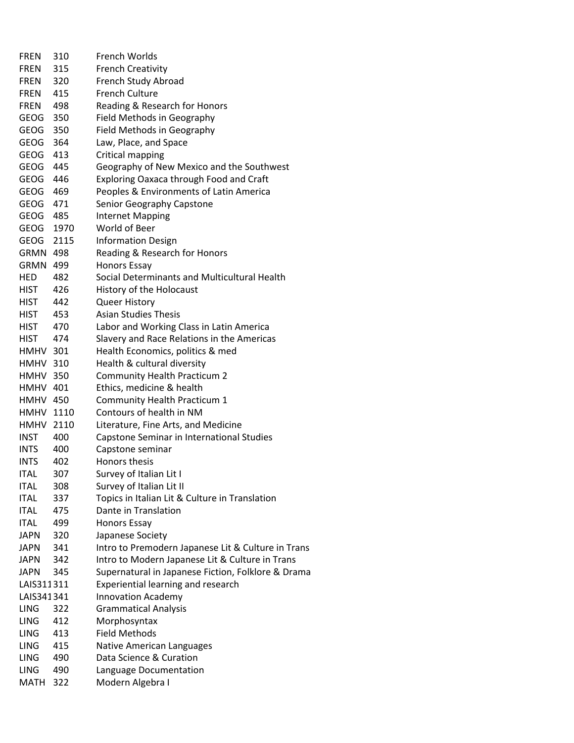| <b>FREN</b>      | 310  | French Worlds                                      |
|------------------|------|----------------------------------------------------|
| <b>FREN</b>      | 315  | <b>French Creativity</b>                           |
| <b>FREN</b>      | 320  | French Study Abroad                                |
| <b>FREN</b>      | 415  | <b>French Culture</b>                              |
| <b>FREN</b>      | 498  | Reading & Research for Honors                      |
| <b>GEOG</b>      | 350  | Field Methods in Geography                         |
| <b>GEOG</b>      | 350  | Field Methods in Geography                         |
| <b>GEOG</b>      | 364  | Law, Place, and Space                              |
| GEOG             | 413  | Critical mapping                                   |
| GEOG             | 445  | Geography of New Mexico and the Southwest          |
| <b>GEOG</b>      | 446  | <b>Exploring Oaxaca through Food and Craft</b>     |
| GEOG             | 469  | Peoples & Environments of Latin America            |
| GEOG 471         |      | Senior Geography Capstone                          |
| GEOG 485         |      | <b>Internet Mapping</b>                            |
| <b>GEOG</b>      | 1970 | World of Beer                                      |
| <b>GEOG</b>      | 2115 | <b>Information Design</b>                          |
| <b>GRMN 498</b>  |      | Reading & Research for Honors                      |
| <b>GRMN 499</b>  |      | <b>Honors Essay</b>                                |
| HED              | 482  | Social Determinants and Multicultural Health       |
| HIST             | 426  | History of the Holocaust                           |
| HIST             | 442  | <b>Queer History</b>                               |
| HIST             | 453  | <b>Asian Studies Thesis</b>                        |
| <b>HIST</b>      | 470  | Labor and Working Class in Latin America           |
| HIST             | 474  | Slavery and Race Relations in the Americas         |
| <b>HMHV 301</b>  |      | Health Economics, politics & med                   |
| <b>HMHV 310</b>  |      | Health & cultural diversity                        |
| <b>HMHV 350</b>  |      | <b>Community Health Practicum 2</b>                |
| <b>HMHV 401</b>  |      | Ethics, medicine & health                          |
| <b>HMHV 450</b>  |      | Community Health Practicum 1                       |
| <b>HMHV 1110</b> |      | Contours of health in NM                           |
| <b>HMHV 2110</b> |      | Literature, Fine Arts, and Medicine                |
| <b>INST</b>      | 400  | Capstone Seminar in International Studies          |
| <b>INTS</b>      | 400  | Capstone seminar                                   |
| <b>INTS</b>      | 402  | Honors thesis                                      |
| <b>ITAL</b>      | 307  | Survey of Italian Lit I                            |
| <b>ITAL</b>      | 308  | Survey of Italian Lit II                           |
| <b>ITAL</b>      | 337  | Topics in Italian Lit & Culture in Translation     |
| <b>ITAL</b>      | 475  | Dante in Translation                               |
| <b>ITAL</b>      | 499  | <b>Honors Essay</b>                                |
| <b>JAPN</b>      | 320  | Japanese Society                                   |
| JAPN             | 341  | Intro to Premodern Japanese Lit & Culture in Trans |
| <b>JAPN</b>      | 342  | Intro to Modern Japanese Lit & Culture in Trans    |
| <b>JAPN</b>      | 345  | Supernatural in Japanese Fiction, Folklore & Drama |
| LAIS311311       |      | Experiential learning and research                 |
| LAIS341341       |      | <b>Innovation Academy</b>                          |
| LING             | 322  | <b>Grammatical Analysis</b>                        |
| <b>LING</b>      | 412  | Morphosyntax                                       |
| <b>LING</b>      | 413  | <b>Field Methods</b>                               |
| <b>LING</b>      | 415  | Native American Languages                          |
| <b>LING</b>      | 490  | Data Science & Curation                            |
| <b>LING</b>      | 490  | Language Documentation                             |
| <b>MATH</b>      | 322  | Modern Algebra I                                   |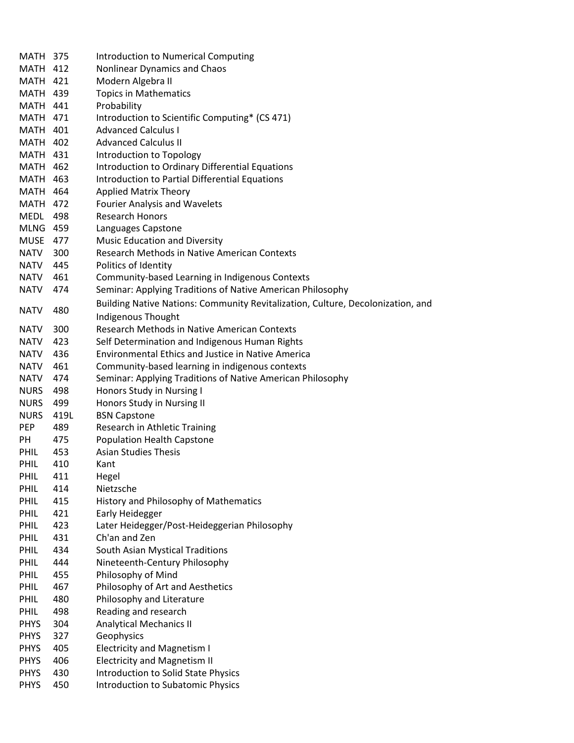| <b>MATH 375</b> |      | <b>Introduction to Numerical Computing</b>                                      |
|-----------------|------|---------------------------------------------------------------------------------|
| <b>MATH 412</b> |      | Nonlinear Dynamics and Chaos                                                    |
| <b>MATH 421</b> |      | Modern Algebra II                                                               |
| <b>MATH 439</b> |      | <b>Topics in Mathematics</b>                                                    |
| <b>MATH 441</b> |      | Probability                                                                     |
| <b>MATH 471</b> |      | Introduction to Scientific Computing* (CS 471)                                  |
| <b>MATH 401</b> |      | <b>Advanced Calculus I</b>                                                      |
| <b>MATH 402</b> |      | <b>Advanced Calculus II</b>                                                     |
| <b>MATH 431</b> |      | Introduction to Topology                                                        |
| <b>MATH 462</b> |      | Introduction to Ordinary Differential Equations                                 |
| <b>MATH 463</b> |      | Introduction to Partial Differential Equations                                  |
| <b>MATH 464</b> |      | <b>Applied Matrix Theory</b>                                                    |
| <b>MATH 472</b> |      | <b>Fourier Analysis and Wavelets</b>                                            |
| MEDL 498        |      | <b>Research Honors</b>                                                          |
| <b>MLNG 459</b> |      | Languages Capstone                                                              |
| <b>MUSE</b>     | 477  | <b>Music Education and Diversity</b>                                            |
| NATV            | 300  | Research Methods in Native American Contexts                                    |
| NATV            | 445  | Politics of Identity                                                            |
| <b>NATV</b>     | 461  | Community-based Learning in Indigenous Contexts                                 |
| <b>NATV</b>     | 474  | Seminar: Applying Traditions of Native American Philosophy                      |
|                 |      | Building Native Nations: Community Revitalization, Culture, Decolonization, and |
| <b>NATV</b>     | 480  | <b>Indigenous Thought</b>                                                       |
| <b>NATV</b>     | 300  | <b>Research Methods in Native American Contexts</b>                             |
| <b>NATV</b>     | 423  | Self Determination and Indigenous Human Rights                                  |
| <b>NATV</b>     | 436  | <b>Environmental Ethics and Justice in Native America</b>                       |
| <b>NATV</b>     | 461  | Community-based learning in indigenous contexts                                 |
| <b>NATV</b>     | 474  | Seminar: Applying Traditions of Native American Philosophy                      |
| <b>NURS</b>     | 498  | Honors Study in Nursing I                                                       |
| <b>NURS</b>     | 499  | Honors Study in Nursing II                                                      |
| <b>NURS</b>     | 419L | <b>BSN Capstone</b>                                                             |
| <b>PEP</b>      | 489  | Research in Athletic Training                                                   |
| PH              | 475  | <b>Population Health Capstone</b>                                               |
| <b>PHIL</b>     | 453  | <b>Asian Studies Thesis</b>                                                     |
| PHIL            | 410  | Kant                                                                            |
| PHIL            | 411  | Hegel                                                                           |
| <b>PHIL</b>     | 414  | Nietzsche                                                                       |
| PHIL            | 415  | History and Philosophy of Mathematics                                           |
| PHIL            | 421  | Early Heidegger                                                                 |
| PHIL            | 423  | Later Heidegger/Post-Heideggerian Philosophy                                    |
| PHIL            | 431  | Ch'an and Zen                                                                   |
| PHIL            | 434  | South Asian Mystical Traditions                                                 |
| PHIL            | 444  | Nineteenth-Century Philosophy                                                   |
| PHIL            | 455  | Philosophy of Mind                                                              |
| PHIL            | 467  | Philosophy of Art and Aesthetics                                                |
| PHIL            | 480  | Philosophy and Literature                                                       |
| <b>PHIL</b>     | 498  | Reading and research                                                            |
| <b>PHYS</b>     | 304  | <b>Analytical Mechanics II</b>                                                  |
| <b>PHYS</b>     | 327  | Geophysics                                                                      |
| <b>PHYS</b>     | 405  | <b>Electricity and Magnetism I</b>                                              |
| <b>PHYS</b>     | 406  | <b>Electricity and Magnetism II</b>                                             |
| <b>PHYS</b>     | 430  | <b>Introduction to Solid State Physics</b>                                      |
| <b>PHYS</b>     | 450  | <b>Introduction to Subatomic Physics</b>                                        |
|                 |      |                                                                                 |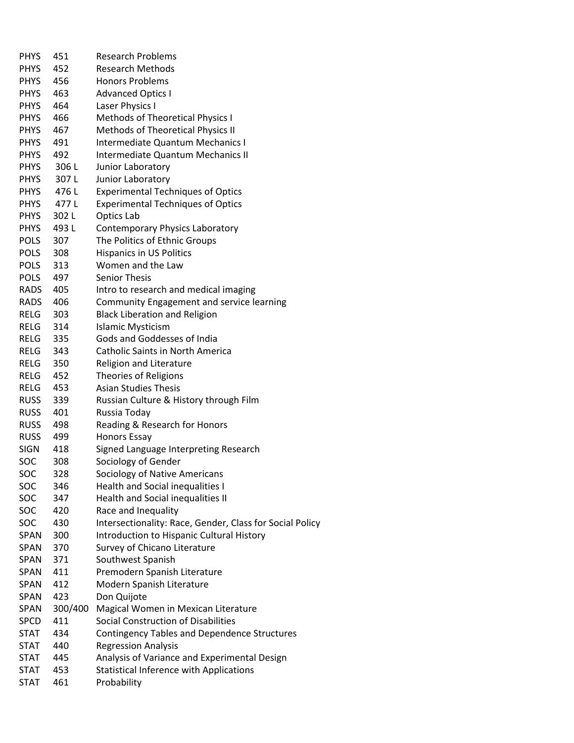| <b>PHYS</b> | 451     | <b>Research Problems</b>                                 |
|-------------|---------|----------------------------------------------------------|
| <b>PHYS</b> | 452     | <b>Research Methods</b>                                  |
| PHYS        | 456     | <b>Honors Problems</b>                                   |
| <b>PHYS</b> | 463     | <b>Advanced Optics I</b>                                 |
| <b>PHYS</b> | 464     | Laser Physics I                                          |
| <b>PHYS</b> | 466     | Methods of Theoretical Physics I                         |
| <b>PHYS</b> | 467     | Methods of Theoretical Physics II                        |
| PHYS        | 491     | Intermediate Quantum Mechanics I                         |
| <b>PHYS</b> | 492     | Intermediate Quantum Mechanics II                        |
| <b>PHYS</b> | 306L    | Junior Laboratory                                        |
| <b>PHYS</b> | 307L    | Junior Laboratory                                        |
| PHYS        | 476L    | <b>Experimental Techniques of Optics</b>                 |
| PHYS        | 477 L   | <b>Experimental Techniques of Optics</b>                 |
| PHYS        | 302L    | Optics Lab                                               |
| <b>PHYS</b> | 493L    |                                                          |
|             |         | Contemporary Physics Laboratory                          |
| <b>POLS</b> | 307     | The Politics of Ethnic Groups                            |
| <b>POLS</b> | 308     | <b>Hispanics in US Politics</b>                          |
| <b>POLS</b> | 313     | Women and the Law                                        |
| <b>POLS</b> | 497     | <b>Senior Thesis</b>                                     |
| RADS        | 405     | Intro to research and medical imaging                    |
| RADS        | 406     | Community Engagement and service learning                |
| RELG        | 303     | <b>Black Liberation and Religion</b>                     |
| RELG        | 314     | <b>Islamic Mysticism</b>                                 |
| RELG        | 335     | Gods and Goddesses of India                              |
| RELG        | 343     | <b>Catholic Saints in North America</b>                  |
| RELG        | 350     | <b>Religion and Literature</b>                           |
| RELG        | 452     | <b>Theories of Religions</b>                             |
| RELG        | 453     | <b>Asian Studies Thesis</b>                              |
| <b>RUSS</b> | 339     | Russian Culture & History through Film                   |
| <b>RUSS</b> | 401     | Russia Today                                             |
| <b>RUSS</b> | 498     | Reading & Research for Honors                            |
| <b>RUSS</b> | 499     | <b>Honors Essay</b>                                      |
| <b>SIGN</b> | 418     | Signed Language Interpreting Research                    |
| SOC         | 308     | Sociology of Gender                                      |
| SOC         | 328     | Sociology of Native Americans                            |
| SOC         | 346     | <b>Health and Social inequalities I</b>                  |
| SOC         | 347     | Health and Social inequalities II                        |
| SOC         | 420     | Race and Inequality                                      |
| SOC         | 430     | Intersectionality: Race, Gender, Class for Social Policy |
| SPAN        | 300     | Introduction to Hispanic Cultural History                |
| SPAN        | 370     | Survey of Chicano Literature                             |
| SPAN        | 371     | Southwest Spanish                                        |
| <b>SPAN</b> | 411     | Premodern Spanish Literature                             |
| SPAN        | 412     | Modern Spanish Literature                                |
| SPAN        | 423     | Don Quijote                                              |
| SPAN        | 300/400 | Magical Women in Mexican Literature                      |
| <b>SPCD</b> | 411     | Social Construction of Disabilities                      |
| STAT        | 434     | <b>Contingency Tables and Dependence Structures</b>      |
| STAT        | 440     | <b>Regression Analysis</b>                               |
| <b>STAT</b> | 445     | Analysis of Variance and Experimental Design             |
| <b>STAT</b> | 453     | <b>Statistical Inference with Applications</b>           |
| <b>STAT</b> | 461     | Probability                                              |
|             |         |                                                          |